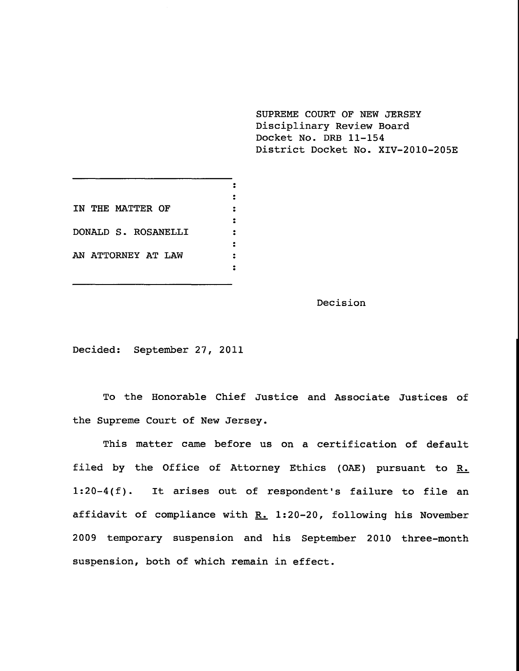**SUPREME COURT OF NEW JERSEY** Disciplinary Review Board Docket No. DRB 11-154 District Docket No. XIV-2010-205E

 $\ddot{\bullet}$  $\ddot{\bullet}$ **IN THE MATTER OF**  $\ddot{z}$  $\ddot{\bullet}$ DONALD S. ROSANELLI  $\ddot{\cdot}$  $\ddot{\cdot}$ AN ATTORNEY AT LAW  $\ddot{\phantom{a}}$  $\ddot{\mathbf{r}}$ 

Decision

Decided: September 27, 2011

To the Honorable Chief Justice and Associate Justices of the Supreme Court of New Jersey.

This matter came before us on a certification of default filed by the Office of Attorney Ethics (OAE) pursuant to  $R_{\bullet}$ 1:20-4(f). It arises out of respondent's failure to file an affidavit of compliance with  $R. 1:20-20$ , following his November 2009 temporary suspension and his September 2010 three-month suspension, both of which remain in effect.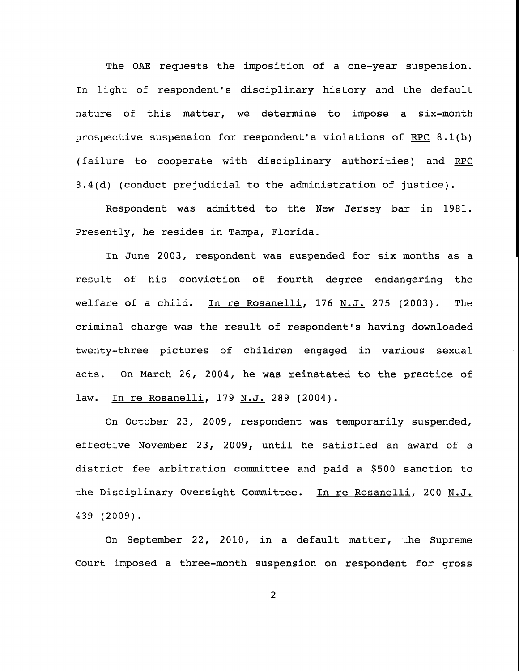The OAE requests the imposition of a one-year suspension. In light of respondent's disciplinary history and the default nature of this matter, we determine to impose a six-month prospective suspension for respondent's violations of RPC 8.1(b) (failure to cooperate with disciplinary authorities) and RPC 8.4(d) (conduct prejudicial to the administration of justice).

Respondent was admitted to the New Jersey bar in 1981. Presently, he resides in Tampa, Florida.

In June 2003, respondent was suspended for six months as a result of his conviction of fourth degree endangering the welfare of a child. In re Rosanelli, 176 N.J. 275 (2003). The criminal charge was the result of respondent's having downloaded twenty-three pictures of children engaged in various sexual acts. On March 26, 2004, he was reinstated to the practice of law. In re Rosanelli, 179 N.J. 289 (2004).

On October 23, 2009, respondent was temporarily suspended, effective November 23, 2009, until he satisfied an award of a district fee arbitration committee and paid a \$500 sanction to the Disciplinary Oversight Committee. In re Rosanelli, 200 N.J. 439 (2009).

On September 22, 2010, in a default matter, the Supreme Court imposed a three-month suspension on respondent for gross

 $\overline{2}$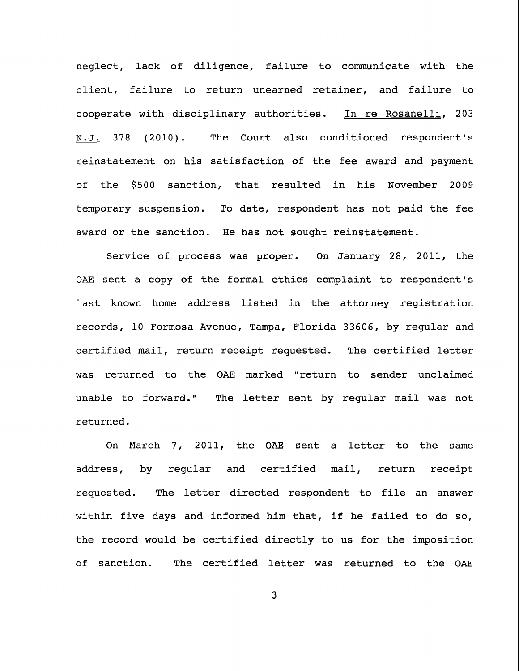neglect, lack of diligence, failure to communicate with the client, failure to return unearned retainer, and failure to cooperate with disciplinary authorities. In re Rosanelli, 203 N.J. 378 (2010). The Court also conditioned respondent's reinstatement on his satisfaction of the fee award and payment of the \$500 sanction, that resulted in his November 2009 temporary suspension. To date, respondent has not paid the fee award or the sanction. He has not sought reinstatement.

Service of process was proper. On January 28, 2011, the OAE sent a copy of the formal ethics complaint to respondent's last known home address listed in the attorney registration records, i0 Formosa Avenue, Tampa, Florida 33606, by regular and certified mail, return receipt requested. The certified letter was returned to the OAE marked "return to sender unclaimed unable to forward." The letter sent by regular mail was not returned.

On March 7, 2011, the OAE sent a letter to the same address, by regular and certified mail, return receipt requested. The letter directed respondent to file an answer within five days and informed him that, if he failed to do so, the record would be certified directly to us for the imposition of sanction. The certified letter was returned to the OAE

 $\overline{\mathbf{3}}$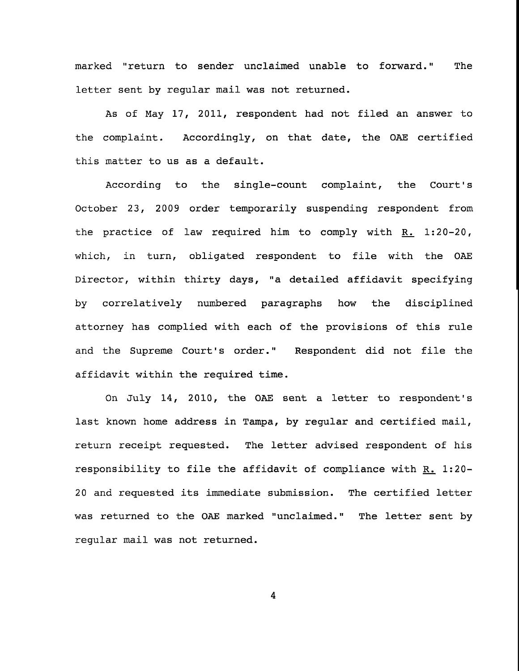marked "return to sender unclaimed unable to forward." The letter sent by regular mail was not returned.

As of May 17, 2011, respondent had not filed an answer to the complaint. Accordingly, on that date, the OAE certified this matter to us as a default.

According to the single-count complaint, the Court's October 23, 2009 order temporarily suspending respondent from the practice of law required him to comply with  $R_$ . 1:20-20, which, in turn, obligated respondent to file with the OAE Director, within thirty days, "a detailed affidavit specifying by correlatively numbered paragraphs how the disciplined attorney has complied with each of the provisions of this rule and the Supreme Court's order." Respondent did not file the affidavit within the required time.

On July 14, 2010, the OAE sent a letter to respondent's last known home address in Tampa, by regular and certified mail, return receipt requested. The letter advised respondent of his responsibility to file the affidavit of compliance with R. 1:20-20 and requested its immediate submission. The certified letter was returned to the OAE marked "unclaimed." The letter sent byregular mail was not returned.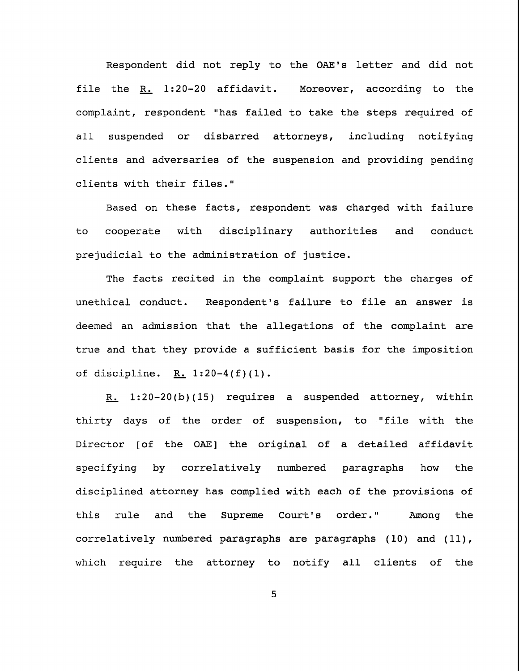Respondent did not reply to the OAE's letter and did not file the R. 1:20-20 affidavit. Moreover, according to the complaint, respondent "has failed to take the steps required of all suspended or disbarred attorneys, including notifying clients and adversaries of the suspension and providing pending clients with their files."

Based on these facts, respondent was charged with failure to cooperate with disciplinary authorities and conduct prejudicial to the administration of justice.

The facts recited in the complaint support the charges of unethical conduct. Respondent's failure to file an answer is deemed an admission that the allegations of the complaint are true and that they provide a sufficient basis for the imposition of discipline. R.  $1:20-4(f)(1)$ .

R.  $1:20-20(b)(15)$  requires a suspended attorney, within thirty days of the order of suspension, to "file with the Director [of the OAE] the original of a detailed affidavit specifying by correlatively numbered paragraphs how the disciplined attorney has complied with each of the provisions of this rule and the Supreme Court's order." Among the correlatively numbered paragraphs are paragraphs  $(10)$  and  $(11)$ , which require the attorney to notify all clients of the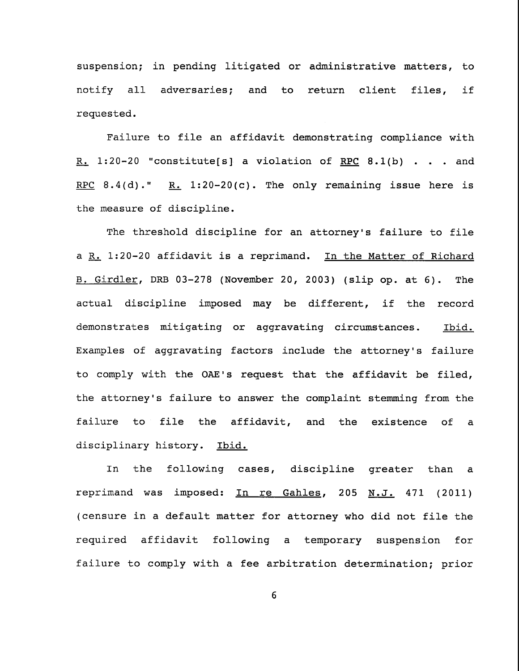suspension; in pending litigated or administrative matters, to notify all adversaries; and to return client files, if requested.

Failure to file an affidavit demonstrating compliance with R. 1:20-20 "constitute[s] a violation of RPC 8.1(b) . . . and RPC 8.4(d)." R. 1:20-20(c). The only remaining issue here is the measure of discipline.

The threshold discipline for an attorney's failure to file a R. 1:20-20 affidavit is a reprimand. In the Matter of Richard B. Girdler, DRB 03-278 (November 20, 2003) (slip op. at 6). The actual discipline imposed may be different, if the record demonstrates mitigating or aggravating circumstances. Ibid. Examples of aggravating factors include the attorney's failure to comply with the OAE's request that the affidavit be filed, the attorney's failure to answer the complaint stemming from the failure to file the affidavit, and the existence of a disciplinary history. Ibid.

In the following cases, discipline greater than a reprimand was imposed: In re Gahles, 205 N.J. 471 (2011) (censure in a default matter for attorney who did not file the required affidavit following a temporary suspension for failure to comply with a fee arbitration determination; prior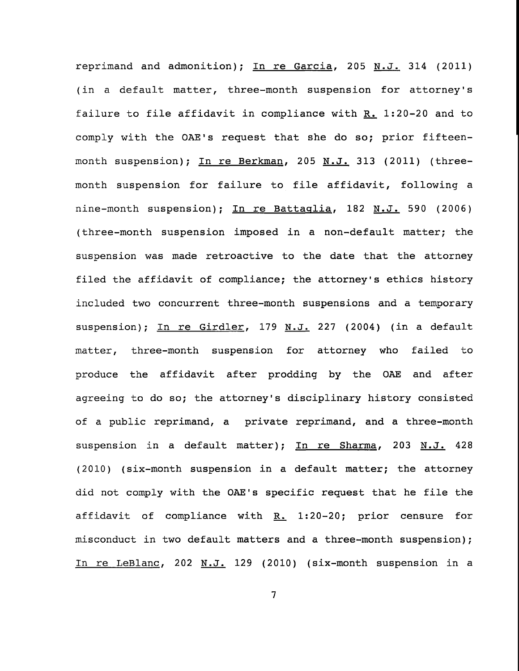reprimand and admonition); In re Garcia, 205 N.J. 314 (2011) (in a default matter, three-month suspension for attorney's failure to file affidavit in compliance with  $R_{-}$  1:20-20 and to comply with the OAE's request that she do so; prior fifteenmonth suspension); In re Berkman, 205 N.J. 313 (2011) (threemonth suspension for failure to file affidavit, following a nine-month suspension); In re Battaqlia, 182 N.J. 590 (2006) (three-month suspension imposed in a non-default matter; the suspension was made retroactive to the date that the attorney filed the affidavit of compliance; the attorney's ethics history included two concurrent three-month suspensions and a temporary suspension); In re Girdler, 179 N.J. 227 (2004) (in a default matter, three-month suspension for attorney who failed to produce the affidavit after prodding by the OAE and after agreeing to do so; the attorney's disciplinary history consisted of a public reprimand, a private reprimand, and a three-month suspension in a default matter); In re Sharma, 203 N.J. 428 (2010) (six-month suspension in a default matter; the attorney did not comply with the OAE's specific request that he file the affidavit of compliance with  $R_$ . 1:20-20; prior censure for misconduct in two default matters and a three-month suspension); In re LeBlanc, 202 N.J. 129 (2010) (six-month suspension in a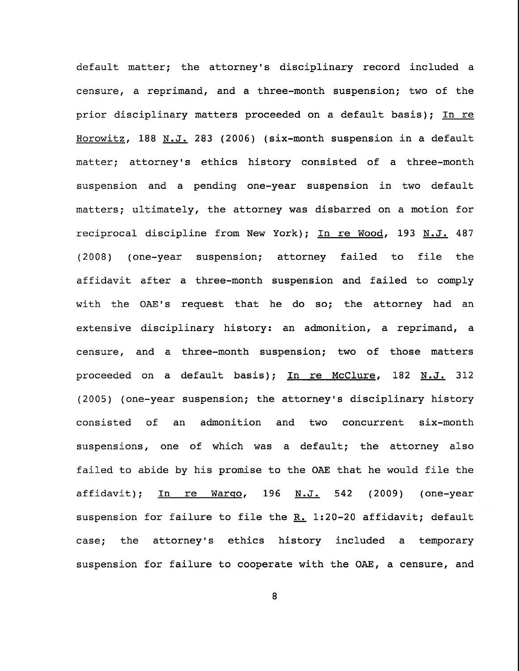default matter; the attorney's disciplinary record included a censure, a reprimand, and a three-month suspension; two of the prior disciplinary matters proceeded on a default basis); In re Horowitz, 188 N.J. 283 (2006) (six-month suspension in a default matter; attorney's ethics history consisted of a three-month suspension and a pending one-year suspension in two default matters; ultimately, the attorney was disbarred on a motion for reciprocal discipline from New York); In re Wood, 193 N.J. 487 (2008) (one-year suspension; attorney failed to file the affidavit after a three-month suspension and failed to comply with the OAE's request that he do so; the attorney had an extensive disciplinary history: an admonition, a reprimand, a censure, and a three-month suspension; two of those matters proceeded on a default basis); In re McClure, 182 N.J. 312 (2005) (one-year suspension; the attorney's disciplinary history consisted of an admonition and two concurrent six-month suspensions, one of which was a default; the attorney also failed to abide by his promise to the OAE that he would file the affidavit); In re Wargo, 196 N.J. 542 (2009) (one-year suspension for failure to file the  $R.$  1:20-20 affidavit; default case; the attorney's ethics history included a temporary suspension for failure to cooperate with the OAE, a censure, and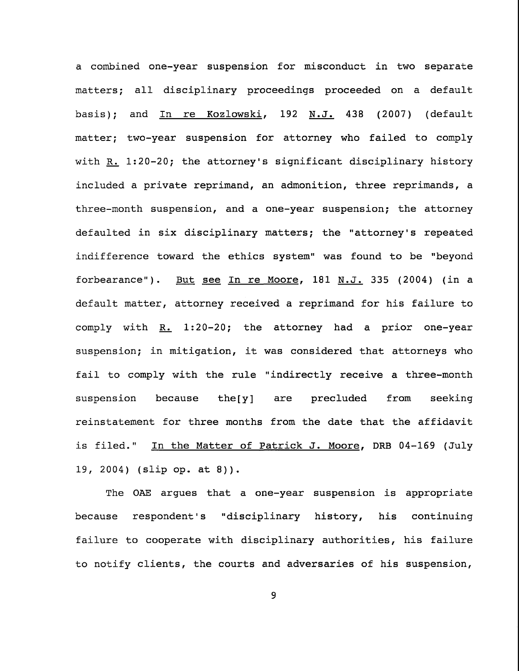a combined one-year suspension for misconduct in two separate matters; all disciplinary proceedings proceeded on a default basis); and In re Kozlowski, 192 N.J. 438 (2007) (default matter; two-year suspension for attorney who failed to comply with  $R. 1:20-20$ ; the attorney's significant disciplinary history included a private reprimand, an admonition, three reprimands, a three-month suspension, and a one-year suspension; the attorney defaulted in six disciplinary matters; the "attorney's repeated indifference toward the ethics system" was found to be "beyond forbearance"). But see In re Moore, 181 N.J. 335 (2004) (in a default matter, attorney received a reprimand for his failure to comply with  $R. 1:20-20$ ; the attorney had a prior one-year suspension; in mitigation, it was considered that attorneys who fail to comply with the rule "indirectly receive a three-month suspension because the[y] are precluded from seeking reinstatement for three months from the date that the affidavit is filed." In the Matter of Patrick J. Moore, DRB 04-169 (July 19, 2004) (slip op. at 8)).

The OAE argues that a one-year suspension is appropriate because respondent's "disciplinary history, his continuing failure to cooperate with disciplinary authorities, his failure to notify clients, the courts and adversaries of his suspension,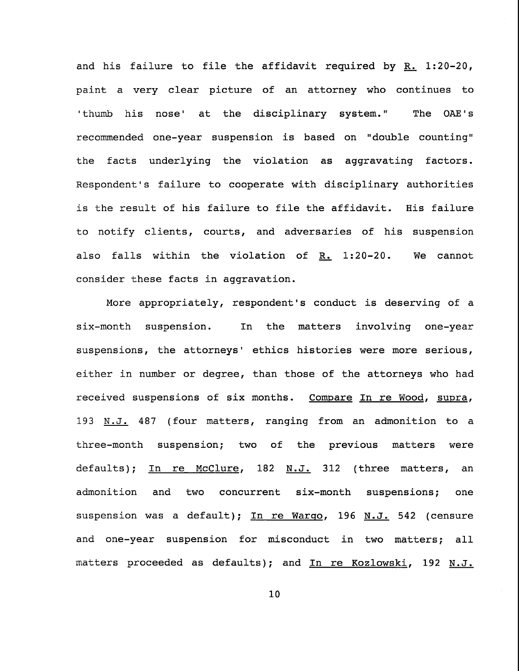and his failure to file the affidavit required by R. 1:20-20, paint a very clear picture of an attorney who continues to 'thumb his nose' at the disciplinary system." The OAE's recommended one-year suspension is based on "double counting" the facts underlying the violation as aggravating factors. Respondent's failure to cooperate with disciplinary authorities is the result of his failure to file the affidavit. His failure to notify clients, courts, and adversaries of his suspension also falls within the violation of  $R_1$  1:20-20. We cannot consider these facts in aggravation.

More appropriately, respondent's conduct is deserving of a six-month suspension. In the matters involving one-year suspensions, the attorneys' ethics histories were more serious, either in number or degree, than those of the attorneys who had received suspensions of six months. Compare In re Wood, supra, 193 N.J. 487 (four matters, ranging from an admonition to a three-month suspension; two of the previous matters were defaults); In re McClure, 182 N.J. 312 (three matters, an admonition concurrent six-month suspensions; one suspension was a default); In re Warqo, 196 N.J. 542 (censure and one-year suspension for misconduct in two matters; all matters proceeded as defaults); and In re Kozlowski, 192 N.J.

i0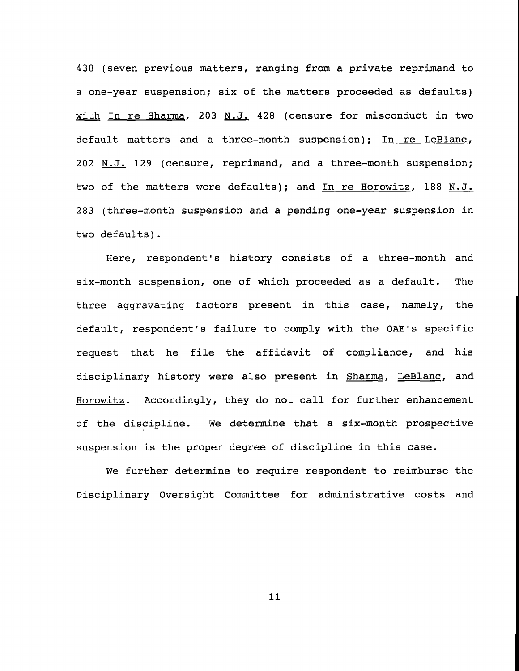438 (seven previous matters, ranging from a private reprimand to a one-year suspension; six of the matters proceeded as defaults) with In re Sharma, 203 N.J. 428 (censure for misconduct in two default matters and a three-month suspension); In re LeBlanc, 202 N.J. 129 (censure, reprimand, and a three-month suspension; two of the matters were defaults); and In re Horowitz, 188 N.J. 283 (three-month suspension and a pending one-year suspension in two defaults).

Here, respondent's history consists of a three-month and six-month suspension, one of which proceeded as a default. The three aggravating factors present in this case, namely, the default, respondent's failure to comply with the OAE's specific request that he file the affidavit of compliance, and his disciplinary history were also present in Sharma, LeBlanc, and Horowitz. Accordingly, they do not call for further enhancement of the discipline. We determine that a six-month prospective suspension is the proper degree of discipline in this case.

We further determine to require respondent to reimburse the Disciplinary Oversight Committee for administrative costs and

ii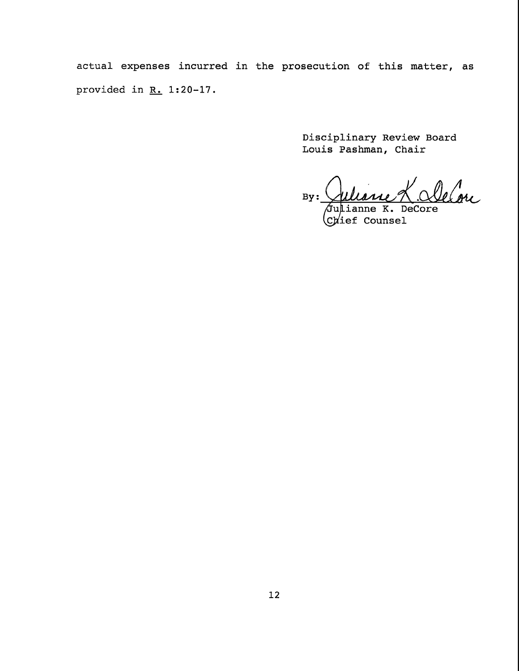actual expenses incurred in the prosecution of this matter, as provided in R. 1:20-17.

> Disciplinary Review Board Louis Pashman, Chair

 $By:$ Lieue K. Alelon

/Ju  $C\nu$ ief Counsel